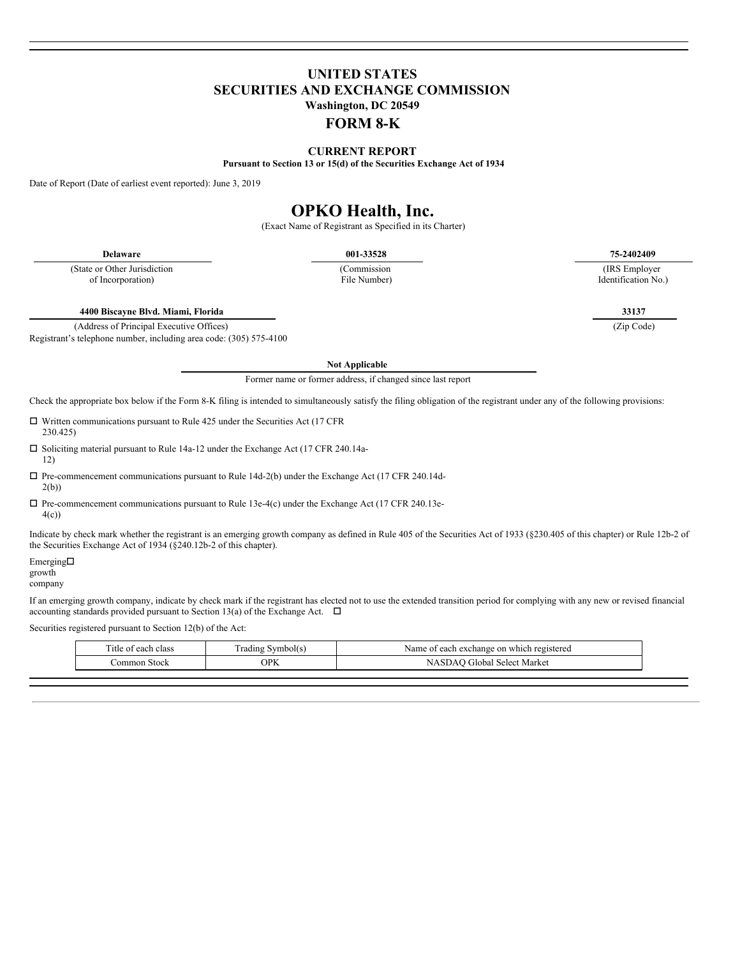## **UNITED STATES SECURITIES AND EXCHANGE COMMISSION Washington, DC 20549**

### **FORM 8-K**

**CURRENT REPORT**

**Pursuant to Section 13 or 15(d) of the Securities Exchange Act of 1934**

Date of Report (Date of earliest event reported): June 3, 2019

# **OPKO Health, Inc.**

(Exact Name of Registrant as Specified in its Charter)

(State or Other Jurisdiction of Incorporation)

(Commission File Number)

**Delaware 001-33528 75-2402409**

(IRS Employer Identification No.)

**4400 Biscayne Blvd. Miami, Florida 33137**

(Address of Principal Executive Offices) (Zip Code)

Registrant's telephone number, including area code: (305) 575-4100

**Not Applicable**

Former name or former address, if changed since last report

Check the appropriate box below if the Form 8-K filing is intended to simultaneously satisfy the filing obligation of the registrant under any of the following provisions:

 $\Box$  Written communications pursuant to Rule 425 under the Securities Act (17 CFR) 230.425)

 $\square$  Soliciting material pursuant to Rule 14a-12 under the Exchange Act (17 CFR 240.14a-12)

- $\square$  Pre-commencement communications pursuant to Rule 14d-2(b) under the Exchange Act (17 CFR 240.14d-2(b))
- $\square$  Pre-commencement communications pursuant to Rule 13e-4(c) under the Exchange Act (17 CFR 240.13e-4(c))

Indicate by check mark whether the registrant is an emerging growth company as defined in Rule 405 of the Securities Act of 1933 (§230.405 of this chapter) or Rule 12b-2 of the Securities Exchange Act of 1934 (§240.12b-2 of this chapter).

Emerging $\square$ growth

company

If an emerging growth company, indicate by check mark if the registrant has elected not to use the extended transition period for complying with any new or revised financial accounting standards provided pursuant to Section 13(a) of the Exchange Act.  $\Box$ 

Securities registered pursuant to Section 12(b) of the Act:

| l'itle<br>ı clas:<br>$\sim$ 0.00<br>ി വ | radıng .<br>Symbol(s) | on which registered<br>Name<br>1 exchange<br>angh.<br>$\sim$<br><br><b>COLL</b> |
|-----------------------------------------|-----------------------|---------------------------------------------------------------------------------|
| Stock<br>∩m<br>mor                      | $\cap$ D $V$          | : Market<br>l Select<br>$\sim$                                                  |
|                                         |                       |                                                                                 |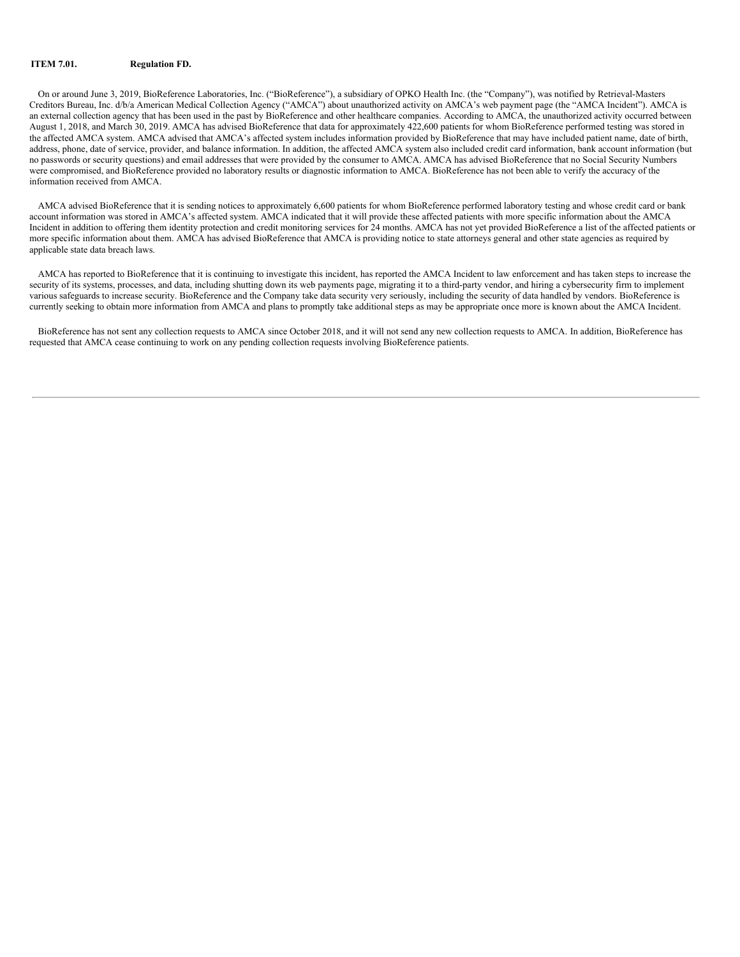#### **ITEM 7.01. Regulation FD.**

On or around June 3, 2019, BioReference Laboratories, Inc. ("BioReference"), a subsidiary of OPKO Health Inc. (the "Company"), was notified by Retrieval-Masters Creditors Bureau, Inc. d/b/a American Medical Collection Agency ("AMCA") about unauthorized activity on AMCA's web payment page (the "AMCA Incident"). AMCA is an external collection agency that has been used in the past by BioReference and other healthcare companies. According to AMCA, the unauthorized activity occurred between August 1, 2018, and March 30, 2019. AMCA has advised BioReference that data for approximately 422,600 patients for whom BioReference performed testing was stored in the affected AMCA system. AMCA advised that AMCA's affected system includes information provided by BioReference that may have included patient name, date of birth, address, phone, date of service, provider, and balance information. In addition, the affected AMCA system also included credit card information, bank account information (but no passwords or security questions) and email addresses that were provided by the consumer to AMCA. AMCA has advised BioReference that no Social Security Numbers were compromised, and BioReference provided no laboratory results or diagnostic information to AMCA. BioReference has not been able to verify the accuracy of the information received from AMCA.

AMCA advised BioReference that it is sending notices to approximately 6,600 patients for whom BioReference performed laboratory testing and whose credit card or bank account information was stored in AMCA's affected system. AMCA indicated that it will provide these affected patients with more specific information about the AMCA Incident in addition to offering them identity protection and credit monitoring services for 24 months. AMCA has not yet provided BioReference a list of the affected patients or more specific information about them. AMCA has advised BioReference that AMCA is providing notice to state attorneys general and other state agencies as required by applicable state data breach laws.

AMCA has reported to BioReference that it is continuing to investigate this incident, has reported the AMCA Incident to law enforcement and has taken steps to increase the security of its systems, processes, and data, including shutting down its web payments page, migrating it to a third-party vendor, and hiring a cybersecurity firm to implement various safeguards to increase security. BioReference and the Company take data security very seriously, including the security of data handled by vendors. BioReference is currently seeking to obtain more information from AMCA and plans to promptly take additional steps as may be appropriate once more is known about the AMCA Incident.

BioReference has not sent any collection requests to AMCA since October 2018, and it will not send any new collection requests to AMCA. In addition, BioReference has requested that AMCA cease continuing to work on any pending collection requests involving BioReference patients.